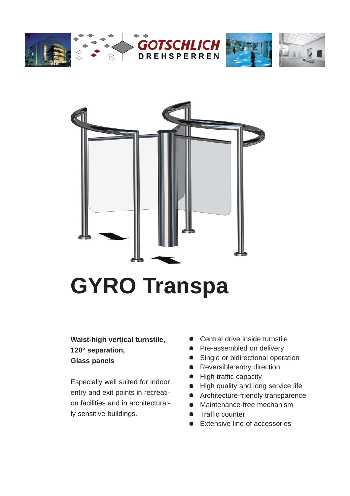







### **Waist-high vertical turnstile, 120° separation, Glass panels**

Especially well suited for indoor entry and exit points in recreation facilities and in architecturally sensitive buildings.

- Central drive inside turnstile
- Pre-assembled on delivery
- Single or bidirectional operation
- Reversible entry direction
- High traffic capacity
- High quality and long service life
- **•** Architecture-friendly transparence
- Maintenance-free mechanism
- **•** Traffic counter
- **Extensive line of accessories**